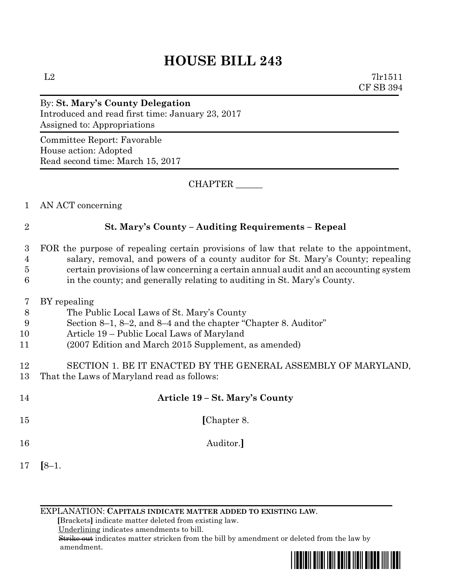## **HOUSE BILL 243**

 $L2$  7lr1511 CF SB 394

## By: **St. Mary's County Delegation** Introduced and read first time: January 23, 2017 Assigned to: Appropriations

Committee Report: Favorable House action: Adopted Read second time: March 15, 2017

CHAPTER \_\_\_\_\_\_

1 AN ACT concerning

## 2 **St. Mary's County – Auditing Requirements – Repeal**

- 3 FOR the purpose of repealing certain provisions of law that relate to the appointment, 4 salary, removal, and powers of a county auditor for St. Mary's County; repealing 5 certain provisions of law concerning a certain annual audit and an accounting system
- 6 in the county; and generally relating to auditing in St. Mary's County.
- 7 BY repealing
- 8 The Public Local Laws of St. Mary's County
- 9 Section 8–1, 8–2, and 8–4 and the chapter "Chapter 8. Auditor"
- 10 Article 19 Public Local Laws of Maryland
- 11 (2007 Edition and March 2015 Supplement, as amended)
- 12 SECTION 1. BE IT ENACTED BY THE GENERAL ASSEMBLY OF MARYLAND, 13 That the Laws of Maryland read as follows:
- 14 **Article 19 – St. Mary's County** 15 **[**Chapter 8. 16 Auditor.**]** 17 **[**8–1.

EXPLANATION: **CAPITALS INDICATE MATTER ADDED TO EXISTING LAW**.

 **[**Brackets**]** indicate matter deleted from existing law.

Underlining indicates amendments to bill.

 Strike out indicates matter stricken from the bill by amendment or deleted from the law by amendment.